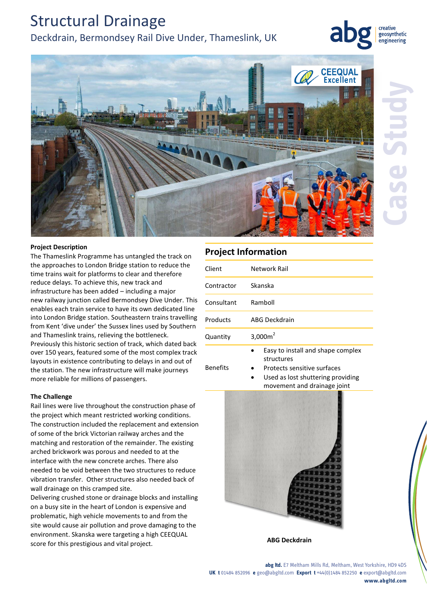# Structural Drainage

## Deckdrain, Bermondsey Rail Dive Under, Thameslink, UK

creative geosynthetic engineering



### **Project Description**

The Thameslink Programme has untangled the track on the approaches to London Bridge station to reduce the time trains wait for platforms to clear and therefore reduce delays. To achieve this, new track and infrastructure has been added – including a major new railway junction called Bermondsey Dive Under. This enables each train service to have its own dedicated line into London Bridge station. Southeastern trains travelling from Kent 'dive under' the Sussex lines used by Southern and Thameslink trains, relieving the bottleneck. Previously this historic section of track, which dated back over 150 years, featured some of the most complex track layouts in existence contributing to delays in and out of the station. The new infrastructure will make journeys more reliable for millions of passengers.

#### **The Challenge**

Rail lines were live throughout the construction phase of the project which meant restricted working conditions. The construction included the replacement and extension of some of the brick Victorian railway arches and the matching and restoration of the remainder. The existing arched brickwork was porous and needed to at the interface with the new concrete arches. There also needed to be void between the two structures to reduce vibration transfer. Other structures also needed back of wall drainage on this cramped site.

Delivering crushed stone or drainage blocks and installing on a busy site in the heart of London is expensive and problematic, high vehicle movements to and from the site would cause air pollution and prove damaging to the environment. Skanska were targeting a high CEEQUAL score for this prestigious and vital project.

### **Project Information**

| Client     | Network Rail                                    |
|------------|-------------------------------------------------|
| Contractor | Skanska                                         |
| Consultant | Ramboll                                         |
| Products   | ABG Deckdrain                                   |
| Quantity   | 3,000 $m2$                                      |
|            | Easy to install and shape complex<br>structures |

- Benefits
- Protects sensitive surfaces
	- Used as lost shuttering providing movement and drainage joint



#### **abg ltd.** E7 Meltham Mills Rd, Meltham, West Yorkshire, HD9 4DS **UK t** 01484 852096 **e** geo@abgltd.com **Export t** +44(0)1484 852250 **e** export@abgltd.com **www.abgltd.com**